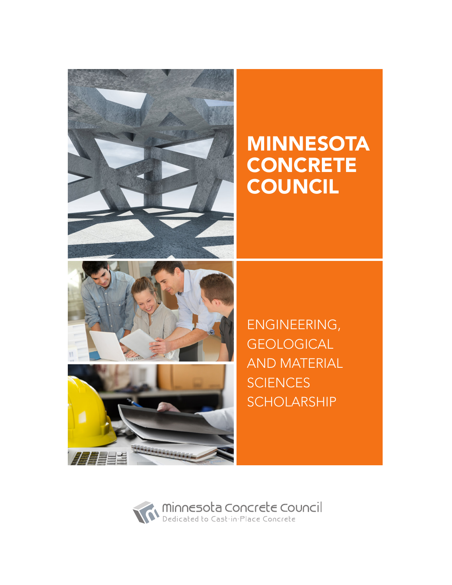

# MINNESOTA **CONCRETE COUNCIL**



**ATEE** 

ENGINEERING, **GEOLOGICAL** AND MATERIAL **SCIENCES SCHOLARSHIP** 

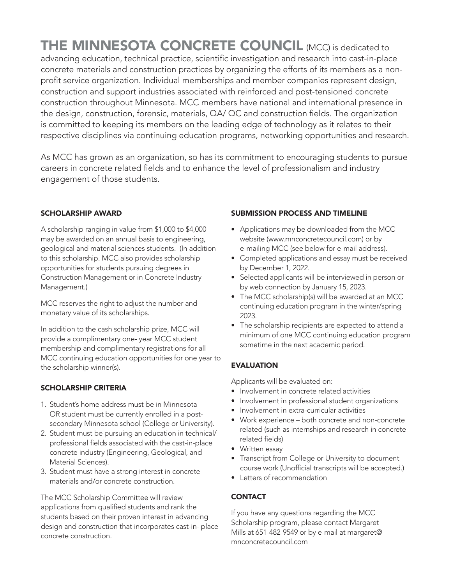THE MINNESOTA CONCRETE COUNCIL (MCC) is dedicated to advancing education, technical practice, scientific investigation and research into cast-in-place concrete materials and construction practices by organizing the efforts of its members as a nonprofit service organization. Individual memberships and member companies represent design, construction and support industries associated with reinforced and post-tensioned concrete construction throughout Minnesota. MCC members have national and international presence in the design, construction, forensic, materials, QA/ QC and construction fields. The organization is committed to keeping its members on the leading edge of technology as it relates to their respective disciplines via continuing education programs, networking opportunities and research.

As MCC has grown as an organization, so has its commitment to encouraging students to pursue careers in concrete related fields and to enhance the level of professionalism and industry engagement of those students.

#### SCHOLARSHIP AWARD

A scholarship ranging in value from \$1,000 to \$4,000 may be awarded on an annual basis to engineering, geological and material sciences students. (In addition to this scholarship. MCC also provides scholarship opportunities for students pursuing degrees in Construction Management or in Concrete Industry Management.)

MCC reserves the right to adjust the number and monetary value of its scholarships.

In addition to the cash scholarship prize, MCC will provide a complimentary one- year MCC student membership and complimentary registrations for all MCC continuing education opportunities for one year to the scholarship winner(s).

#### SCHOLARSHIP CRITERIA

- 1. Student's home address must be in Minnesota OR student must be currently enrolled in a postsecondary Minnesota school (College or University).
- 2. Student must be pursuing an education in technical/ professional fields associated with the cast-in-place concrete industry (Engineering, Geological, and Material Sciences).
- 3. Student must have a strong interest in concrete materials and/or concrete construction.

The MCC Scholarship Committee will review applications from qualified students and rank the students based on their proven interest in advancing design and construction that incorporates cast-in- place concrete construction.

#### SUBMISSION PROCESS AND TIMELINE

- Applications may be downloaded from the MCC website (www.mnconcretecouncil.com) or by e-mailing MCC (see below for e-mail address).
- Completed applications and essay must be received by December 1, 2022.
- Selected applicants will be interviewed in person or by web connection by January 15, 2023.
- The MCC scholarship(s) will be awarded at an MCC continuing education program in the winter/spring 2023.
- The scholarship recipients are expected to attend a minimum of one MCC continuing education program sometime in the next academic period.

#### **EVALUATION**

Applicants will be evaluated on:

- Involvement in concrete related activities
- Involvement in professional student organizations
- Involvement in extra-curricular activities
- Work experience both concrete and non-concrete related (such as internships and research in concrete related fields)
- Written essay
- Transcript from College or University to document course work (Unofficial transcripts will be accepted.)
- Letters of recommendation

#### **CONTACT**

If you have any questions regarding the MCC Scholarship program, please contact Margaret Mills at 651-482-9549 or by e-mail at margaret@ mnconcretecouncil.com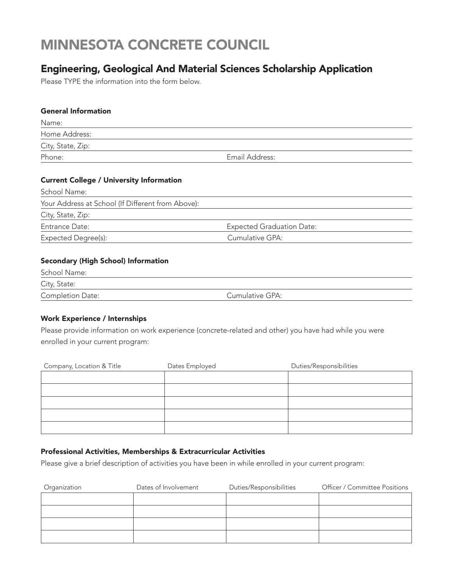# MINNESOTA CONCRETE COUNCIL

## Engineering, Geological And Material Sciences Scholarship Application

Please TYPE the information into the form below.

#### General Information

| Name:             |                |
|-------------------|----------------|
| Home Address:     |                |
| City, State, Zip: |                |
| Phone:            | Email Address: |

#### Current College / University Information

| School Name:                                      |                                  |
|---------------------------------------------------|----------------------------------|
| Your Address at School (If Different from Above): |                                  |
| City, State, Zip:                                 |                                  |
| Entrance Date:                                    | <b>Expected Graduation Date:</b> |
| Expected Degree(s):                               | Cumulative GPA:                  |
|                                                   |                                  |

#### Secondary (High School) Information

| School Name:            |                 |  |
|-------------------------|-----------------|--|
| City, State:            |                 |  |
| <b>Completion Date:</b> | Cumulative GPA: |  |

#### Work Experience / Internships

Please provide information on work experience (concrete-related and other) you have had while you were enrolled in your current program:

| Company, Location & Title | Dates Employed | Duties/Responsibilities |  |
|---------------------------|----------------|-------------------------|--|
|                           |                |                         |  |
|                           |                |                         |  |
|                           |                |                         |  |
|                           |                |                         |  |
|                           |                |                         |  |

#### Professional Activities, Memberships & Extracurricular Activities

Please give a brief description of activities you have been in while enrolled in your current program:

| Organization | Dates of Involvement | Duties/Responsibilities | Officer / Committee Positions |
|--------------|----------------------|-------------------------|-------------------------------|
|              |                      |                         |                               |
|              |                      |                         |                               |
|              |                      |                         |                               |
|              |                      |                         |                               |